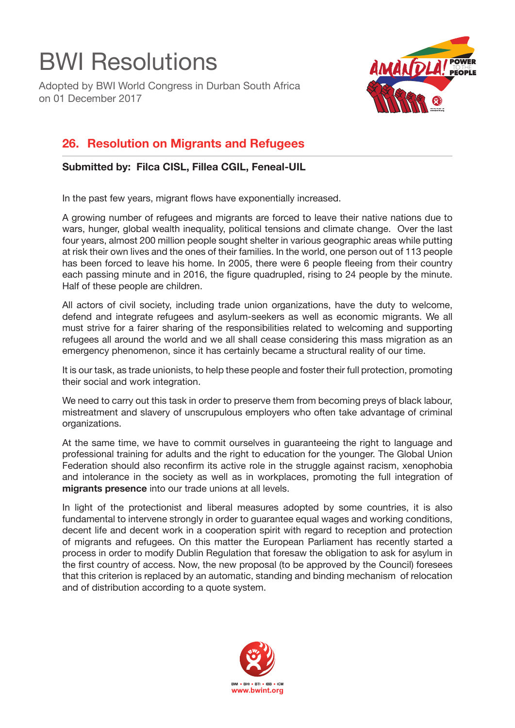## BWI Resolutions

Adopted by BWI World Congress in Durban South Africa on 01 December 2017



## **26. Resolution on Migrants and Refugees**

**Submitted by: Filca CISL, Fillea CGIL, Feneal-UIL**

In the past few years, migrant flows have exponentially increased.

A growing number of refugees and migrants are forced to leave their native nations due to wars, hunger, global wealth inequality, political tensions and climate change. Over the last four years, almost 200 million people sought shelter in various geographic areas while putting at risk their own lives and the ones of their families. In the world, one person out of 113 people has been forced to leave his home. In 2005, there were 6 people fleeing from their country each passing minute and in 2016, the figure quadrupled, rising to 24 people by the minute. Half of these people are children.

All actors of civil society, including trade union organizations, have the duty to welcome, defend and integrate refugees and asylum-seekers as well as economic migrants. We all must strive for a fairer sharing of the responsibilities related to welcoming and supporting refugees all around the world and we all shall cease considering this mass migration as an emergency phenomenon, since it has certainly became a structural reality of our time.

It is our task, as trade unionists, to help these people and foster their full protection, promoting their social and work integration.

We need to carry out this task in order to preserve them from becoming preys of black labour, mistreatment and slavery of unscrupulous employers who often take advantage of criminal organizations.

At the same time, we have to commit ourselves in guaranteeing the right to language and professional training for adults and the right to education for the younger. The Global Union Federation should also reconfirm its active role in the struggle against racism, xenophobia and intolerance in the society as well as in workplaces, promoting the full integration of **migrants presence** into our trade unions at all levels.

In light of the protectionist and liberal measures adopted by some countries, it is also fundamental to intervene strongly in order to guarantee equal wages and working conditions. decent life and decent work in a cooperation spirit with regard to reception and protection of migrants and refugees. On this matter the European Parliament has recently started a process in order to modify Dublin Regulation that foresaw the obligation to ask for asylum in the first country of access. Now, the new proposal (to be approved by the Council) foresees that this criterion is replaced by an automatic, standing and binding mechanism of relocation and of distribution according to a quote system.